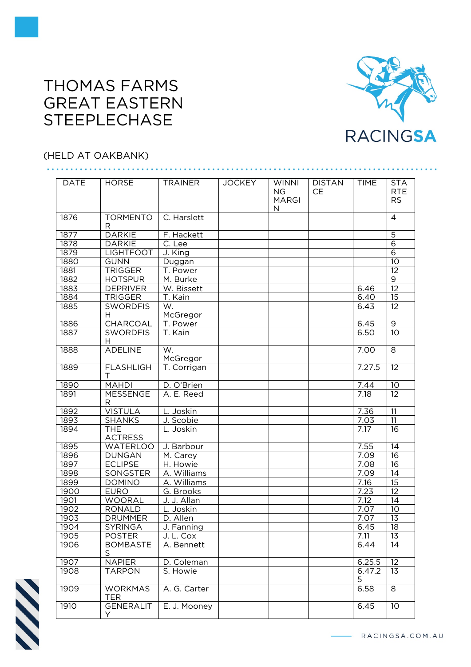## THOMAS FARMS GREAT EASTERN **STEEPLECHASE**



## (HELD AT OAKBANK)

| <b>DATE</b> | <b>HORSE</b>                 | <b>TRAINER</b>       | <b>JOCKEY</b> | <b>WINNI</b><br>NG.<br><b>MARGI</b> | <b>DISTAN</b><br>CЕ | <b>TIME</b> | <b>STA</b><br><b>RTE</b><br><b>RS</b> |
|-------------|------------------------------|----------------------|---------------|-------------------------------------|---------------------|-------------|---------------------------------------|
|             |                              |                      |               | N                                   |                     |             |                                       |
| 1876        | <b>TORMENTO</b><br>R         | C. Harslett          |               |                                     |                     |             | $\overline{4}$                        |
| 1877        | <b>DARKIE</b>                | F. Hackett           |               |                                     |                     |             | $\overline{5}$                        |
| 1878        | <b>DARKIE</b>                | $\overline{C}$ . Lee |               |                                     |                     |             | $\overline{6}$                        |
| 1879        | <b>LIGHTFOOT</b>             | J. King              |               |                                     |                     |             | $\overline{6}$                        |
| 1880        | <b>GUNN</b>                  | Duggan               |               |                                     |                     |             | 10                                    |
| 1881        | <b>TRIGGER</b>               | T. Power             |               |                                     |                     |             | $\overline{12}$                       |
| 1882        | <b>HOTSPUR</b>               | M. Burke             |               |                                     |                     |             | $\overline{9}$                        |
| 1883        | <b>DEPRIVER</b>              | W. Bissett           |               |                                     |                     | 6.46        | $\overline{12}$                       |
| 1884        | <b>TRIGGER</b>               | T. Kain              |               |                                     |                     | 6.40        | 15                                    |
| 1885        | <b>SWORDFIS</b>              | W.                   |               |                                     |                     | 6.43        | $\overline{12}$                       |
|             | H                            | McGregor             |               |                                     |                     |             |                                       |
| 1886        | <b>CHARCOAL</b>              | T. Power             |               |                                     |                     | 6.45        | $\overline{9}$                        |
| 1887        | <b>SWORDFIS</b>              | T. Kain              |               |                                     |                     | 6.50        | $\overline{10}$                       |
|             | H                            |                      |               |                                     |                     |             |                                       |
| 1888        | <b>ADELINE</b>               | W.                   |               |                                     |                     | 7.00        | 8                                     |
|             |                              | McGregor             |               |                                     |                     |             |                                       |
| 1889        | <b>FLASHLIGH</b><br>T        | T. Corrigan          |               |                                     |                     | 7.27.5      | 12                                    |
| 1890        | <b>MAHDI</b>                 | D. O'Brien           |               |                                     |                     | 7.44        | 10                                    |
| 1891        | <b>MESSENGE</b>              | A. E. Reed           |               |                                     |                     | 7.18        | 12                                    |
|             | R                            |                      |               |                                     |                     |             |                                       |
| 1892        | <b>VISTULA</b>               | L. Joskin            |               |                                     |                     | 7.36        | $\overline{11}$                       |
| 1893        | <b>SHANKS</b>                | J. Scobie            |               |                                     |                     | 7.03        | 11                                    |
| 1894        | <b>THE</b>                   | L. Joskin            |               |                                     |                     | 7.17        | 16                                    |
|             | <b>ACTRESS</b>               |                      |               |                                     |                     |             |                                       |
| 1895        | <b>WATERLOO</b>              | J. Barbour           |               |                                     |                     | 7.55        | $\overline{14}$                       |
| 1896        | <b>DUNGAN</b>                | M. Carey             |               |                                     |                     | 7.09        | 16                                    |
| 1897        | <b>ECLIPSE</b>               | H. Howie             |               |                                     |                     | 7.08        | 16                                    |
| 1898        | SONGSTER                     | A. Williams          |               |                                     |                     | 7.09        | 14                                    |
| 1899        | <b>DOMINO</b>                | A. Williams          |               |                                     |                     | 7.16        | $\overline{15}$                       |
| 1900        | <b>EURO</b>                  | G. Brooks            |               |                                     |                     | 7.23        | 12                                    |
| 1901        | WOORAL                       | J. J. Allan          |               |                                     |                     | 7.12        | $\overline{14}$                       |
| 1902        | <b>RONALD</b>                | L. Joskin            |               |                                     |                     | 7.07        | $\overline{10}$                       |
| 1903        | <b>DRUMMER</b>               | D. Allen             |               |                                     |                     | 7.07        | $\overline{13}$                       |
| 1904        | <b>SYRINGA</b>               | J. Fanning           |               |                                     |                     | 6.45        | $\overline{18}$                       |
| 1905        | <b>POSTER</b>                | J. L. Cox            |               |                                     |                     | 7.11        | 13                                    |
| 1906        | <b>BOMBASTE</b>              | A. Bennett           |               |                                     |                     | 6.44        | 14                                    |
|             | S                            |                      |               |                                     |                     |             |                                       |
| 1907        | <b>NAPIER</b>                | D. Coleman           |               |                                     |                     | 6.25.5      | 12                                    |
| 1908        | <b>TARPON</b>                | S. Howie             |               |                                     |                     | 6.47.2      | 13                                    |
|             |                              |                      |               |                                     |                     | 5           |                                       |
| 1909        | <b>WORKMAS</b><br><b>TER</b> | A. G. Carter         |               |                                     |                     | 6.58        | 8                                     |
| 1910        | <b>GENERALIT</b><br>Y        | E. J. Mooney         |               |                                     |                     | 6.45        | 10                                    |

N

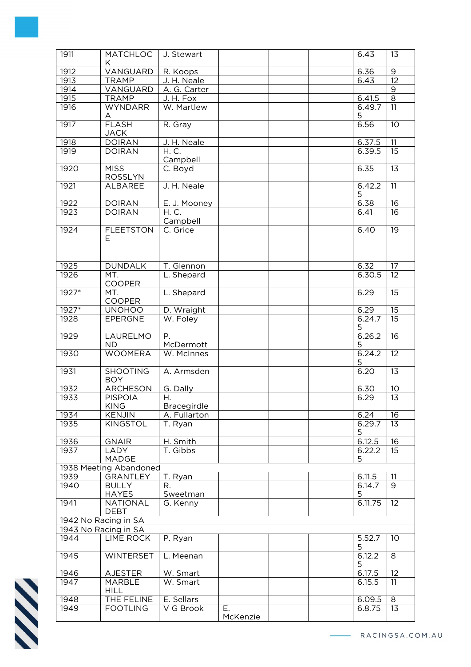| 1911    | <b>MATCHLOC</b><br>Κ             | J. Stewart             |                |  | 6.43        | 13              |
|---------|----------------------------------|------------------------|----------------|--|-------------|-----------------|
| 1912    | VANGUARD                         | R. Koops               |                |  | 6.36        | $\overline{9}$  |
| 1913    | <b>TRAMP</b>                     | J. H. Neale            |                |  | 6.43        | $\overline{12}$ |
| 1914    | VANGUARD                         | A. G. Carter           |                |  |             | $\mathsf 9$     |
| 1915    | <b>TRAMP</b>                     | J. H. Fox              |                |  | 6.41.5      | $\overline{8}$  |
| 1916    | <b>WYNDARR</b>                   | W. Martlew             |                |  | 6.49.7<br>5 | $\overline{11}$ |
| 1917    | A<br><b>FLASH</b><br><b>JACK</b> | R. Gray                |                |  | 6.56        | $\overline{10}$ |
| 1918    | <b>DOIRAN</b>                    | J. H. Neale            |                |  | 6.37.5      | 11              |
| 1919    | <b>DOIRAN</b>                    | H. C.                  |                |  | 6.39.5      | $\overline{15}$ |
|         |                                  | Campbell               |                |  |             |                 |
| 1920    | <b>MISS</b><br><b>ROSSLYN</b>    | C. Boyd                |                |  | 6.35        | $\overline{13}$ |
| 1921    | <b>ALBAREE</b>                   | J. H. Neale            |                |  | 6.42.2<br>5 | $\overline{11}$ |
| 1922    | <b>DOIRAN</b>                    | E. J. Mooney           |                |  | 6.38        | 16              |
| 1923    | <b>DOIRAN</b>                    | H. C.                  |                |  | 6.41        | 16              |
|         |                                  | Campbell               |                |  |             |                 |
| 1924    | <b>FLEETSTON</b>                 | C. Grice               |                |  | 6.40        | $\overline{19}$ |
|         | Е                                |                        |                |  |             |                 |
| 1925    | <b>DUNDALK</b>                   | T. Glennon             |                |  | 6.32        | 17              |
| 1926    | MT.<br><b>COOPER</b>             | L. Shepard             |                |  | 6.30.5      | $\overline{12}$ |
| $1927*$ | MT.<br>COOPER                    | L. Shepard             |                |  | 6.29        | 15              |
| $1927*$ | <b>UNOHOO</b>                    | D. Wraight             |                |  | 6.29        | $\overline{15}$ |
| 1928    | EPERGNE                          | W. Foley               |                |  | 6.24.7      | 15              |
|         |                                  |                        |                |  | 5           |                 |
| 1929    | LAURELMO<br><b>ND</b>            | Ρ.<br>McDermott        |                |  | 6.26.2<br>5 | 16              |
| 1930    | <b>WOOMERA</b>                   | W. McInnes             |                |  | 6.24.2<br>5 | 12              |
| 1931    | <b>SHOOTING</b><br><b>BOY</b>    | A. Armsden             |                |  | 6.20        | 13              |
| 1932    | <b>ARCHESON</b>                  | G. Dally               |                |  | 6.30        | 10              |
| 1933    | <b>PISPOIA</b>                   | Н.                     |                |  | 6.29        | $\overline{13}$ |
|         | KING                             | <b>Bracegirdle</b>     |                |  |             |                 |
| 1934    | <b>KENJIN</b>                    | A. Fullarton           |                |  | 6.24        | 16              |
| 1935    | <b>KINGSTOL</b>                  | T. Ryan                |                |  | 6.29.7      | 13              |
|         |                                  |                        |                |  | 5           |                 |
| 1936    | <b>GNAIR</b>                     | H. Smith               |                |  | 6.12.5      | 16              |
| 1937    | LADY                             | T. Gibbs               |                |  | 6.22.2      | 15              |
|         | MADGE                            |                        |                |  | 5           |                 |
|         | 1938 Meeting Abandoned           |                        |                |  |             |                 |
| 1939    | <b>GRANTLEY</b>                  | T. Ryan                |                |  | 6.11.5      | 11              |
| 1940    | <b>BULLY</b><br><b>HAYES</b>     | R.<br>Sweetman         |                |  | 6.14.7<br>5 | 9               |
| 1941    | <b>NATIONAL</b><br><b>DEBT</b>   | G. Kenny               |                |  | 6.11.75     | 12              |
|         | 1942 No Racing in SA             |                        |                |  |             |                 |
|         | 1943 No Racing in SA             |                        |                |  |             |                 |
| 1944    | <b>LIME ROCK</b>                 | P. Ryan                |                |  | 5.52.7      | 10 <sup>°</sup> |
| 1945    | <b>WINTERSET</b>                 | L. Meenan              |                |  | 5<br>6.12.2 | 8               |
|         |                                  |                        |                |  | 5           |                 |
| 1946    | <b>AJESTER</b>                   | W. Smart<br>$W.$ Smart |                |  | 6.17.5      | 12              |
| 1947    | <b>MARBLE</b><br><b>HILL</b>     |                        |                |  | 6.15.5      | 11              |
| 1948    | THE FELINE                       | E. Sellars             |                |  | 6.09.5      | $\infty$        |
| 1949    | <b>FOOTLING</b>                  | V G Brook              | Ε.<br>McKenzie |  | 6.8.75      | 13              |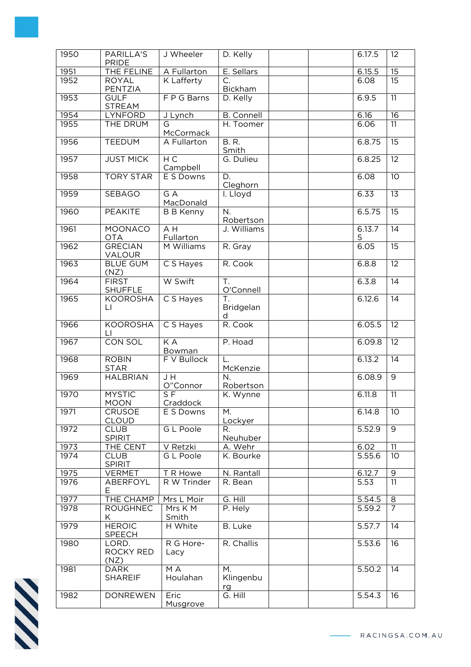| 1950 | PARILLA'S<br><b>PRIDE</b>      | J Wheeler                     | D. Kelly                          |  | 6.17.5      | 12              |
|------|--------------------------------|-------------------------------|-----------------------------------|--|-------------|-----------------|
| 1951 | THE FELINE                     | A Fullarton                   | E. Sellars                        |  | 6.15.5      | $\overline{15}$ |
| 1952 | <b>ROYAL</b><br>PENTZIA        | <b>K</b> Lafferty             | C.<br><b>Bickham</b>              |  | 6.08        | 15              |
| 1953 | <b>GULF</b><br><b>STREAM</b>   | F P G Barns                   | D. Kelly                          |  | 6.9.5       | $\overline{11}$ |
| 1954 | LYNFORD                        | J Lynch                       | <b>B.</b> Connell                 |  | 6.16        | $\overline{16}$ |
| 1955 | THE DRUM                       | G<br>McCormack                | H. Toomer                         |  | 6.06        | $\overline{11}$ |
| 1956 | <b>TEEDUM</b>                  | A Fullarton                   | <b>B.R.</b><br>Smith              |  | 6.8.75      | $\overline{15}$ |
| 1957 | <b>JUST MICK</b>               | НC<br>Campbell                | G. Dulieu                         |  | 6.8.25      | $\overline{12}$ |
| 1958 | <b>TORY STAR</b>               | E S Downs                     | D.<br>Cleghorn                    |  | 6.08        | $\overline{10}$ |
| 1959 | <b>SEBAGO</b>                  | $G \overline{A}$<br>MacDonald | I. Lloyd                          |  | 6.33        | $\overline{13}$ |
| 1960 | <b>PEAKITE</b>                 | <b>B B Kenny</b>              | N.<br>Robertson                   |  | 6.5.75      | $\overline{15}$ |
| 1961 | <b>MOONACO</b><br><b>OTA</b>   | $A$ H<br>Fullarton            | J. Williams                       |  | 6.13.7<br>5 | $\overline{14}$ |
| 1962 | <b>GRECIAN</b><br>VALOUR       | M Williams                    | R. Gray                           |  | 6.05        | $\overline{15}$ |
| 1963 | <b>BLUE GUM</b><br>(NZ)        | C S Hayes                     | R. Cook                           |  | 6.8.8       | $\overline{12}$ |
| 1964 | <b>FIRST</b><br><b>SHUFFLE</b> | W Swift                       | T.<br>O'Connell                   |  | 6.3.8       | $\overline{14}$ |
| 1965 | <b>KOOROSHA</b><br>LI.         | C S Hayes                     | T.<br>Bridgelan<br>d              |  | 6.12.6      | 14              |
| 1966 | <b>KOOROSHA</b><br>LI.         | C S Hayes                     | R. Cook                           |  | 6.05.5      | $\overline{12}$ |
| 1967 | <b>CON SOL</b>                 | KA<br>Bowman                  | P. Hoad                           |  | 6.09.8      | $\overline{12}$ |
| 1968 | <b>ROBIN</b><br><b>STAR</b>    | F V Bullock                   | L.<br>McKenzie                    |  | 6.13.2      | $\overline{14}$ |
| 1969 | <b>HALBRIAN</b>                | J H<br>O"Connor               | N.<br>Robertson                   |  | 6.08.9      | $\overline{9}$  |
| 1970 | <b>MYSTIC</b><br><b>MOON</b>   | S <sub>F</sub><br>Craddock    | K. Wynne                          |  | 6.11.8      | 11              |
| 1971 | <b>CRUSOE</b><br><b>CLOUD</b>  | E S Downs                     | М.<br>Lockyer                     |  | 6.14.8      | 10 <sup>°</sup> |
| 1972 | <b>CLUB</b><br><b>SPIRIT</b>   | <b>GL Poole</b>               | R.<br>Neuhuber                    |  | 5.52.9      | $\overline{9}$  |
| 1973 | THE CENT                       | V Retzki                      | A. Wehr                           |  | 6.02        | $\overline{11}$ |
| 1974 | <b>CLUB</b><br><b>SPIRIT</b>   | G L Poole                     | K. Bourke                         |  | 5.55.6      | 10 <sup>°</sup> |
| 1975 | <b>VERMET</b>                  | T R Howe                      | N. Rantall                        |  | 6.12.7      | 9               |
| 1976 | ABERFOYL<br>E.                 | R W Trinder                   | R. Bean                           |  | 5.53        | 11              |
| 1977 | THE CHAMP                      | Mrs L Moir                    | G. Hill                           |  | 5.54.5      | $\infty$        |
| 1978 | <b>ROUGHNEC</b><br>K           | Mrs K M<br>Smith              | P. Hely                           |  | 5.59.2      | $\overline{7}$  |
| 1979 | <b>HEROIC</b><br><b>SPEECH</b> | H White                       | B. Luke                           |  | 5.57.7      | 14              |
| 1980 | LORD.<br>ROCKY RED<br>(NZ)     | R G Hore-<br>Lacy             | R. Challis                        |  | 5.53.6      | 16              |
| 1981 | <b>DARK</b><br><b>SHAREIF</b>  | MA<br>Houlahan                | M <sub>r</sub><br>Klingenbu<br>rg |  | 5.50.2      | 14              |
| 1982 | <b>DONREWEN</b>                | Eric<br>Musgrove              | G. Hill                           |  | 5.54.3      | 16              |



RACINGSA.COM.AU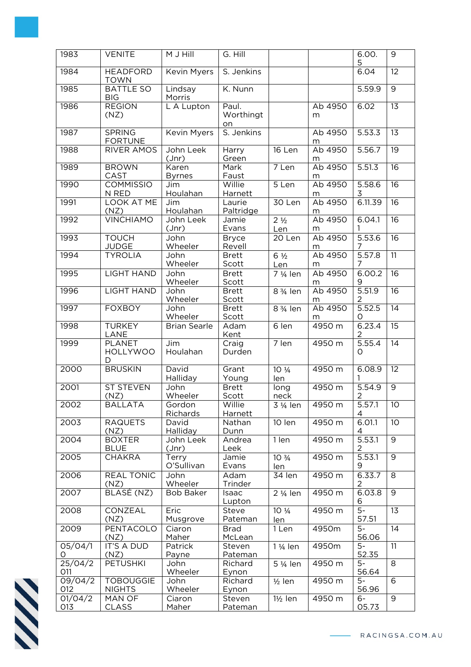| 1983           | <b>VENITE</b>                         | M J Hill               | G. Hill                  |                                       |              | 6.00.<br>5               | 9               |
|----------------|---------------------------------------|------------------------|--------------------------|---------------------------------------|--------------|--------------------------|-----------------|
| 1984           | <b>HEADFORD</b><br><b>TOWN</b>        | <b>Kevin Myers</b>     | S. Jenkins               |                                       |              | 6.04                     | $\overline{12}$ |
| 1985           | <b>BATTLE SO</b><br><b>BIG</b>        | Lindsay<br>Morris      | K. Nunn                  |                                       |              | 5.59.9                   | $\overline{9}$  |
| 1986           | <b>REGION</b><br>(NZ)                 | L A Lupton             | Paul.<br>Worthingt<br>on |                                       | Ab 4950<br>m | 6.02                     | $\overline{13}$ |
| 1987           | <b>SPRING</b><br><b>FORTUNE</b>       | Kevin Myers            | S. Jenkins               |                                       | Ab 4950<br>m | 5.53.3                   | 13              |
| 1988           | <b>RIVER AMOS</b>                     | John Leek<br>$Jnr$ )   | Harry<br>Green           | 16 Len                                | Ab 4950<br>m | 5.56.7                   | 19              |
| 1989           | <b>BROWN</b><br>CAST                  | Karen<br><b>Byrnes</b> | Mark<br>Faust            | 7 Len                                 | Ab 4950<br>m | 5.51.3                   | $\overline{16}$ |
| 1990           | <b>COMMISSIO</b><br>N RED             | Jim<br>Houlahan        | Willie<br>Harnett        | 5 Len                                 | Ab 4950<br>m | 5.58.6<br>3              | $\overline{16}$ |
| 1991           | <b>LOOK AT ME</b><br>(NZ)             | Jim<br>Houlahan        | Laurie<br>Paltridge      | 30 Len                                | Ab 4950<br>m | 6.11.39                  | $\overline{16}$ |
| 1992           | <b>VINCHIAMO</b>                      | John Leek<br>Jnr       | Jamie<br>Evans           | 2 <sup>1</sup> / <sub>2</sub><br>Len  | Ab 4950<br>m | 6.04.1<br>1              | 16              |
| 1993           | <b>TOUCH</b><br><b>JUDGE</b>          | John<br>Wheeler        | <b>Bryce</b><br>Revell   | $\overline{20}$ Len                   | Ab 4950<br>m | 5.53.6<br>7              | 16              |
| 1994           | <b>TYROLIA</b>                        | John<br>Wheeler        | <b>Brett</b><br>Scott    | $6\frac{1}{2}$<br>Len                 | Ab 4950<br>m | 5.57.8<br>7              | 11              |
| 1995           | <b>LIGHT HAND</b>                     | John<br>Wheeler        | <b>Brett</b><br>Scott    | 7 1/ <sub>4</sub> len                 | Ab 4950<br>m | 6.00.2                   | $\overline{16}$ |
| 1996           | <b>LIGHT HAND</b>                     | John<br>Wheeler        | <b>Brett</b><br>Scott    | 8 3/ <sub>4</sub> len                 | Ab 4950<br>m | 5.51.9<br>2              | $\overline{16}$ |
| 1997           | <b>FOXBOY</b>                         | John<br>Wheeler        | <b>Brett</b><br>Scott    | 8 3/ <sub>4</sub> len                 | Ab 4950<br>m | 5.52.5<br>O              | $\overline{14}$ |
| 1998           | <b>TURKEY</b><br>LANE                 | <b>Brian Searle</b>    | Adam<br>Kent             | 6 len                                 | 4950 m       | 6.23.4<br>$\overline{c}$ | $\overline{15}$ |
| 1999           | <b>PLANET</b><br><b>HOLLYWOO</b><br>D | Jim<br>Houlahan        | Craig<br>Durden          | 7 len                                 | 4950 m       | $\overline{5.55.4}$<br>O | $\overline{14}$ |
| 2000           | <b>BRUSKIN</b>                        | David<br>Halliday      | Grant<br>Young           | $10 \frac{1}{4}$<br>len               | 4950 m       | 6.08.9<br>1              | $\overline{12}$ |
| 2001           | <b>ST STEVEN</b><br>(NZ)              | John<br>Wheeler        | <b>Brett</b><br>Scott    | long<br>neck                          | 4950 m       | 5.54.9                   | $\overline{9}$  |
| 2002           | <b>BALLATA</b>                        | Gordon<br>Richards     | Willie<br>Harnett        | $3\frac{1}{4}$ len                    | 4950 m       | $\frac{2}{5.57.1}$<br>4  | 10              |
| 2003           | <b>RAQUETS</b><br>(NZ)                | David<br>Halliday      | Nathan<br>Dunn           | 10 len                                | 4950 m       | 6.01.1<br>4              | 10              |
| 2004           | <b>BOXTER</b><br><b>BLUE</b>          | John Leek<br>(Jnr)     | Andrea<br>Leek           | 1 len                                 | 4950 m       | 5.53.1<br>2              | 9               |
| 2005           | <b>CHAKRA</b>                         | Terry<br>O'Sullivan    | Jamie<br>Evans           | 10 <sup>3</sup> / <sub>4</sub><br>len | 4950 m       | 5.53.1<br>9              | $\overline{9}$  |
| 2006           | <b>REAL TONIC</b><br>(NZ)             | John<br>Wheeler        | Adam<br>Trinder          | 34 len                                | 4950 m       | 6.33.7<br>2              | $\infty$        |
| 2007           | BLASÉ (NZ)                            | <b>Bob Baker</b>       | Isaac<br>Lupton          | 2 1/ <sub>4</sub> len                 | 4950 m       | 6.03.8<br>6              | $\overline{9}$  |
| 2008           | CONZEAL<br>(NZ)                       | Eric<br>Musgrove       | Steve<br>Pateman         | $10 \frac{1}{4}$<br>len               | 4950 m       | $\overline{5}$<br>57.51  | 13              |
| 2009           | PENTACOLO<br>(NZ)                     | Ciaron<br>Maher        | <b>Brad</b><br>McLean    | 1 Len                                 | 4950m        | $5-$<br>56.06            | 14              |
| 05/04/1<br>0   | IT'S A DUD<br>(NZ)                    | Patrick<br>Payne       | Steven<br>Pateman        | 1 1/ <sub>4</sub> len                 | 4950m        | $5-$<br>52.35            | 11              |
| 25/04/2<br>011 | <b>PETUSHKI</b>                       | John<br>Wheeler        | Richard<br>Eynon         | 5 1/ <sub>4</sub> len                 | 4950 m       | $5-$<br>56.64            | 8               |
| 09/04/2<br>012 | <b>TOBOUGGIE</b><br><b>NIGHTS</b>     | John<br>Wheeler        | Richard<br>Eynon         | $1/2$ len                             | 4950 m       | $5-$<br>56.96            | 6               |
| 01/04/2<br>013 | MAN OF<br><b>CLASS</b>                | Ciaron<br>Maher        | Steven<br>Pateman        | $1\frac{1}{2}$ len                    | 4950 m       | $6 -$<br>05.73           | $\overline{9}$  |

**SSS**